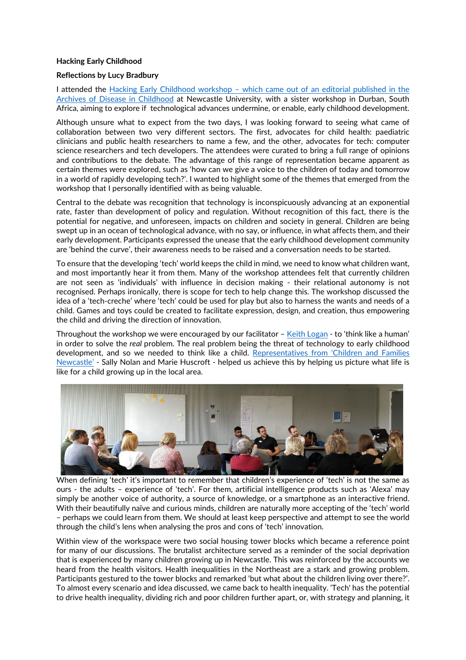## **Hacking Early Childhood**

## **Reflections by Lucy Bradbury**

I attended the Hacking Early Childhood workshop – [which came out of an editorial published in the](https://adc.bmj.com/content/archdischild/early/2021/12/19/archdischild-2021-323158.full.pdf?ijkey=A8fQ58VjoIoW3Sg&keytype=ref)  [Archives of Disease in Childhood](https://adc.bmj.com/content/archdischild/early/2021/12/19/archdischild-2021-323158.full.pdf?ijkey=A8fQ58VjoIoW3Sg&keytype=ref) at Newcastle University, with a sister workshop in Durban, South Africa, aiming to explore if technological advances undermine, or enable, early childhood development.

Although unsure what to expect from the two days, I was looking forward to seeing what came of collaboration between two very different sectors. The first, advocates for child health: paediatric clinicians and public health researchers to name a few, and the other, advocates for tech: computer science researchers and tech developers. The attendees were curated to bring a full range of opinions and contributions to the debate. The advantage of this range of representation became apparent as certain themes were explored, such as 'how can we give a voice to the children of today and tomorrow in a world of rapidly developing tech?'. I wanted to highlight some of the themes that emerged from the workshop that I personally identified with as being valuable.

Central to the debate was recognition that technology is inconspicuously advancing at an exponential rate, faster than development of policy and regulation. Without recognition of this fact, there is the potential for negative, and unforeseen, impacts on children and society in general. Children are being swept up in an ocean of technological advance, with no say, or influence, in what affects them, and their early development. Participants expressed the unease that the early childhood development community are 'behind the curve', their awareness needs to be raised and a conversation needs to be started.

To ensure that the developing 'tech' world keeps the child in mind, we need to know what children want, and most importantly hear it from them. Many of the workshop attendees felt that currently children are not seen as 'individuals' with influence in decision making - their relational autonomy is not recognised. Perhaps ironically, there is scope for tech to help change this. The workshop discussed the idea of a 'tech-creche' where 'tech' could be used for play but also to harness the wants and needs of a child. Games and toys could be created to facilitate expression, design, and creation, thus empowering the child and driving the direction of innovation.

Throughout the workshop we were encouraged by our facilitator – [Keith Logan](https://uk.linkedin.com/in/keithdavidlogan) - to 'think like a human' in order to solve the *real* problem. The real problem being the threat of technology to early childhood development, and so we needed to think like a child. [Representatives from 'Children and Families](https://www.newcastle.gov.uk/services/care-and-support/children/getting-help-children-and-families/children-families-newcastle)  [Newcastle'](https://www.newcastle.gov.uk/services/care-and-support/children/getting-help-children-and-families/children-families-newcastle) - Sally Nolan and Marie Huscroft - helped us achieve this by helping us picture what life is like for a child growing up in the local area.



When defining 'tech' it's important to remember that children's experience of 'tech' is not the same as ours - the adults – experience of 'tech'. For them, artificial intelligence products such as 'Alexa' may simply be another voice of authority, a source of knowledge, or a smartphone as an interactive friend. With their beautifully naïve and curious minds, children are naturally more accepting of the 'tech' world – perhaps we could learn from them. We should at least keep perspective and attempt to see the world through the child's lens when analysing the pros and cons of 'tech' innovation.

Within view of the workspace were two social housing tower blocks which became a reference point for many of our discussions. The brutalist architecture served as a reminder of the social deprivation that is experienced by many children growing up in Newcastle. This was reinforced by the accounts we heard from the health visitors. Health inequalities in the Northeast are a stark and growing problem. Participants gestured to the tower blocks and remarked 'but what about the children living over there?'. To almost every scenario and idea discussed, we came back to health inequality. 'Tech' has the potential to drive health inequality, dividing rich and poor children further apart, or, with strategy and planning, it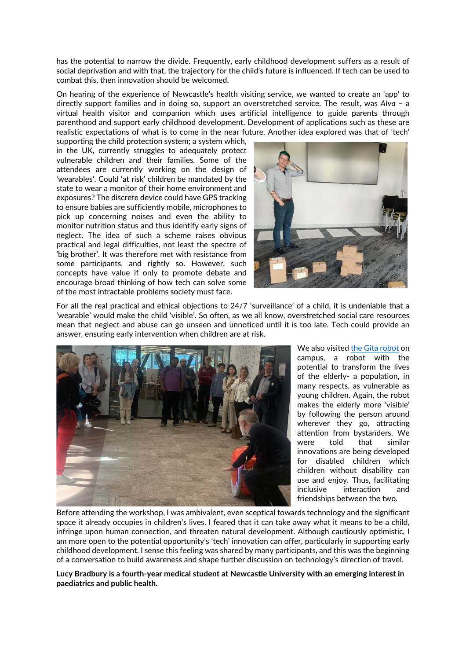has the potential to narrow the divide. Frequently, early childhood development suffers as a result of social deprivation and with that, the trajectory for the child's future is influenced. If tech can be used to combat this, then innovation should be welcomed.

On hearing of the experience of Newcastle's health visiting service, we wanted to create an 'app' to directly support families and in doing so, support an overstretched service. The result, was *AIva* – a virtual health visitor and companion which uses artificial intelligence to guide parents through parenthood and support early childhood development. Development of applications such as these are realistic expectations of what is to come in the near future. Another idea explored was that of 'tech'

supporting the child protection system; a system which, in the UK, currently struggles to adequately protect vulnerable children and their families*.* Some of the attendees are currently working on the design of 'wearables'. Could 'at risk' children be mandated by the state to wear a monitor of their home environment and exposures? The discrete device could have GPS tracking to ensure babies are sufficiently mobile, microphones to pick up concerning noises and even the ability to monitor nutrition status and thus identify early signs of neglect. The idea of such a scheme raises obvious practical and legal difficulties, not least the spectre of 'big brother'. It was therefore met with resistance from some participants, and rightly so. However, such concepts have value if only to promote debate and encourage broad thinking of how tech can solve some of the most intractable problems society must face.



For all the real practical and ethical objections to 24/7 'surveillance' of a child, it is undeniable that a 'wearable' would make the child 'visible'. So often, as we all know, overstretched social care resources mean that neglect and abuse can go unseen and unnoticed until it is too late. Tech could provide an answer, ensuring early intervention when children are at risk.



We also visited [the Gita robot](https://www.ncl.ac.uk/press/articles/archive/2021/03/gitarobotshelpingahealthylifestyle/) on campus, a robot with the potential to transform the lives of the elderly- a population, in many respects, as vulnerable as young children. Again, the robot makes the elderly more 'visible' by following the person around wherever they go, attracting attention from bystanders. We were told that similar innovations are being developed for disabled children which children without disability can use and enjoy. Thus, facilitating inclusive interaction and friendships between the two.

Before attending the workshop, I was ambivalent, even sceptical towards technology and the significant space it already occupies in children's lives. I feared that it can take away what it means to be a child, infringe upon human connection, and threaten natural development. Although cautiously optimistic, I am more open to the potential opportunity's 'tech' innovation can offer, particularly in supporting early childhood development. I sense this feeling was shared by many participants, and this was the beginning of a conversation to build awareness and shape further discussion on technology's direction of travel.

**Lucy Bradbury is a fourth-year medical student at Newcastle University with an emerging interest in paediatrics and public health.**